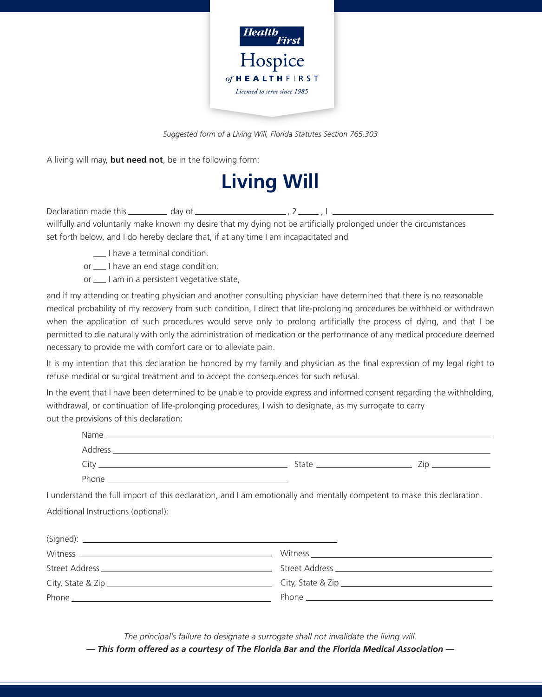

*Suggested form of a Living Will, Florida Statutes Section 765.303*

A living will may, **but need not**, be in the following form:

## **Living Will**

Declaration made this  $\frac{d}{dx}$  day of  $\frac{1}{2}$  , 2 , I ,  $\frac{1}{2}$ willfully and voluntarily make known my desire that my dying not be artificially prolonged under the circumstances set forth below, and I do hereby declare that, if at any time I am incapacitated and

- $\Box$  I have a terminal condition.
- or  $\equiv$  I have an end stage condition.
- or  $\frac{1}{\sqrt{1}}$  am in a persistent vegetative state,

and if my attending or treating physician and another consulting physician have determined that there is no reasonable medical probability of my recovery from such condition, I direct that life-prolonging procedures be withheld or withdrawn when the application of such procedures would serve only to prolong artificially the process of dying, and that I be permitted to die naturally with only the administration of medication or the performance of any medical procedure deemed necessary to provide me with comfort care or to alleviate pain.

It is my intention that this declaration be honored by my family and physician as the final expression of my legal right to refuse medical or surgical treatment and to accept the consequences for such refusal.

In the event that I have been determined to be unable to provide express and informed consent regarding the withholding, withdrawal, or continuation of life-prolonging procedures, I wish to designate, as my surrogate to carry out the provisions of this declaration:

| Name    |       |     |
|---------|-------|-----|
| Address |       |     |
| City    | State | 7in |
| Phone   |       |     |

I understand the full import of this declaration, and I am emotionally and mentally competent to make this declaration. Additional Instructions (optional):

| $Witness \begin{tabular}{c} \hline \rule[1mm]{1mm}{6mm} \rule[1mm]{1mm}{6mm} \rule[1mm]{1mm}{6mm} \rule[1mm]{1mm}{6mm} \rule[1mm]{1mm}{6mm} \rule[1mm]{1mm}{6mm} \rule[1mm]{1mm}{6mm} \rule[1mm]{1mm}{6mm} \rule[1mm]{1mm}{6mm} \rule[1mm]{1mm}{6mm} \rule[1mm]{1mm}{6mm} \rule[1mm]{1mm}{6mm} \rule[1mm]{1mm}{6mm} \rule[1mm]{1mm}{6mm} \rule[1mm]{1mm}{6mm} \rule[1mm]{1mm}{6mm} \rule[1mm]{1mm}{6mm} \rule$ | $\text{Witness} \underline{\hspace{2cm}}$ |
|----------------------------------------------------------------------------------------------------------------------------------------------------------------------------------------------------------------------------------------------------------------------------------------------------------------------------------------------------------------------------------------------------------------|-------------------------------------------|
|                                                                                                                                                                                                                                                                                                                                                                                                                |                                           |
|                                                                                                                                                                                                                                                                                                                                                                                                                |                                           |
|                                                                                                                                                                                                                                                                                                                                                                                                                |                                           |

*The principal's failure to designate a surrogate shall not invalidate the living will.*

*— This form offered as a courtesy of The Florida Bar and the Florida Medical Association —*